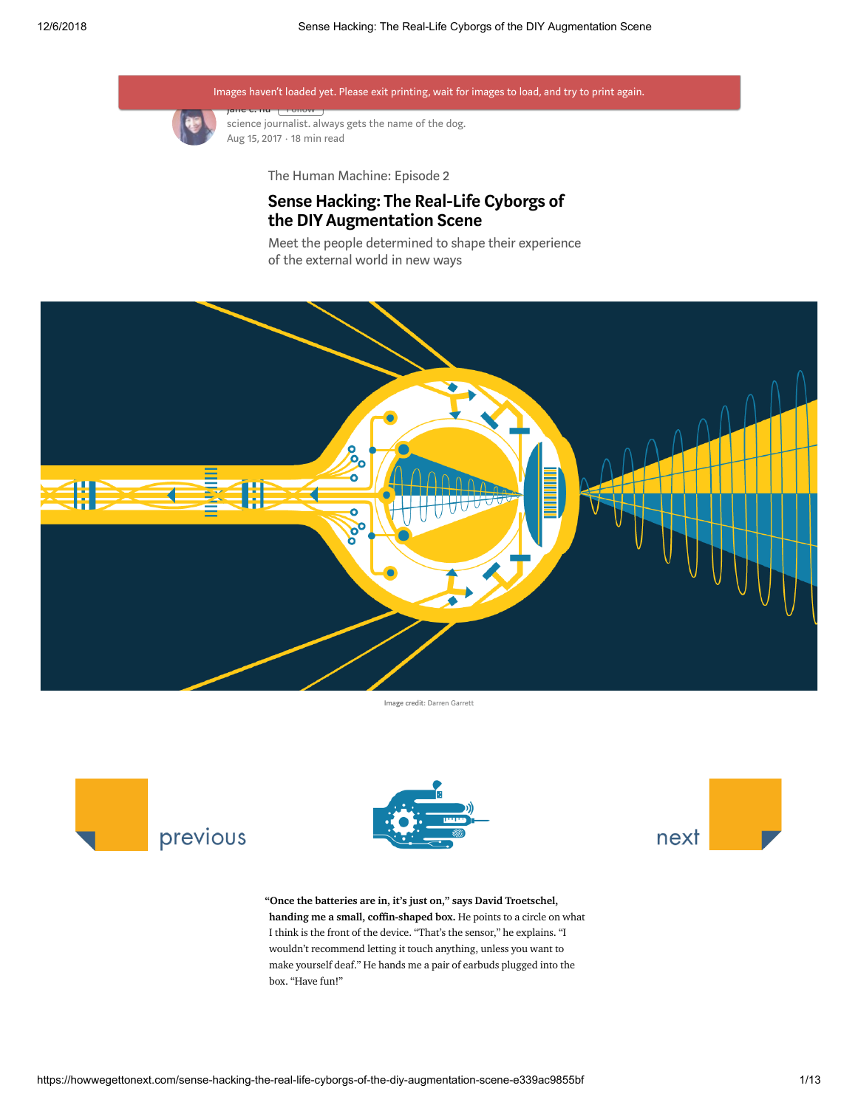

[jane](https://howwegettonext.com/@jane_c_hu?source=post_header_lockup) c. nu <sub>[</sub> Follow ] science journalist. always gets the name of the dog. Aug 15, 2017 · 18 min read

The Human Machine: Episode 2

## Sense Hacking: The Real-Life Cyborgs of the DIY Augmentation Scene

Meet the people determined to shape their experience of the external world in new ways



Image credit: Darren [Garrett](https://medium.com/@darrengarrett)





"Once the batteries are in, it's just on," says David Troetschel, handing me a small, coffin-shaped box. He points to a circle on what I think is the front of the device. "That's the sensor," he explains. "I wouldn't recommend letting it touch anything, unless you want to make yourself deaf." He hands me a pair of earbuds plugged into the box. "Have fun!"

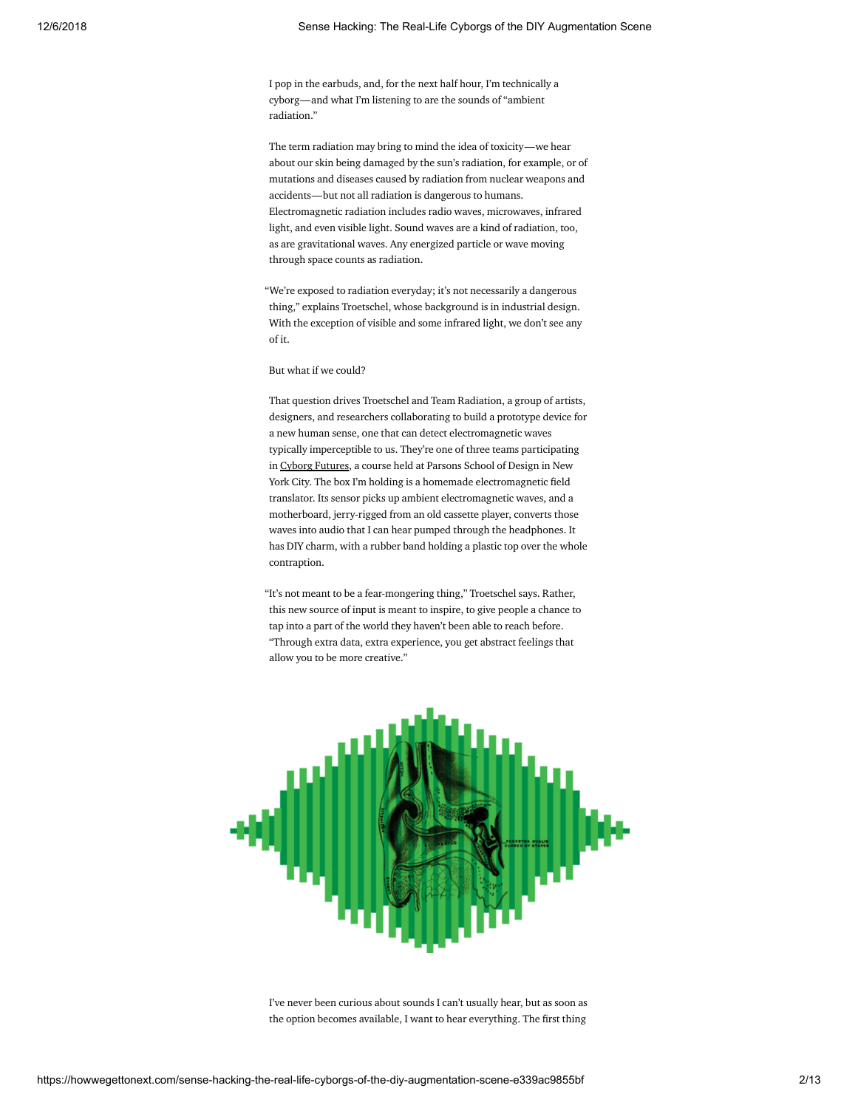I pop in the earbuds, and, for the next half hour, I'm technically a cyborg—and what I'm listening to are the sounds of "ambient radiation."

The term radiation may bring to mind the idea of toxicity—we hear about our skin being damaged by the sun's radiation, for example, or of mutations and diseases caused by radiation from nuclear weapons and accidents—but not all radiation is dangerous to humans. Electromagnetic radiation includes radio waves, microwaves, infrared light, and even visible light. Sound waves are a kind of radiation, too, as are gravitational waves. Any energized particle or wave moving through space counts as radiation.

"We're exposed to radiation everyday; it's not necessarily a dangerous thing," explains Troetschel, whose background is in industrial design. With the exception of visible and some infrared light, we don't see any of it.

But what if we could?

That question drives Troetschel and Team Radiation, a group of artists, designers, and researchers collaborating to build a prototype device for a new human sense, one that can detect electromagnetic waves typically imperceptible to us. They're one of three teams participating in Cyborg [Futures,](http://www.cyborgfutures.com/) a course held at Parsons School of Design in New York City. The box I'm holding is a homemade electromagnetic field translator. Its sensor picks up ambient electromagnetic waves, and a motherboard, jerry-rigged from an old cassette player, converts those waves into audio that I can hear pumped through the headphones. It has DIY charm, with a rubber band holding a plastic top over the whole contraption.

"It's not meant to be a fear-mongering thing," Troetschel says. Rather, this new source of input is meant to inspire, to give people a chance to tap into a part of the world they haven't been able to reach before. "Through extra data, extra experience, you get abstract feelings that allow you to be more creative."



I've never been curious about sounds I can't usually hear, but as soon as the option becomes available, I want to hear everything. The first thing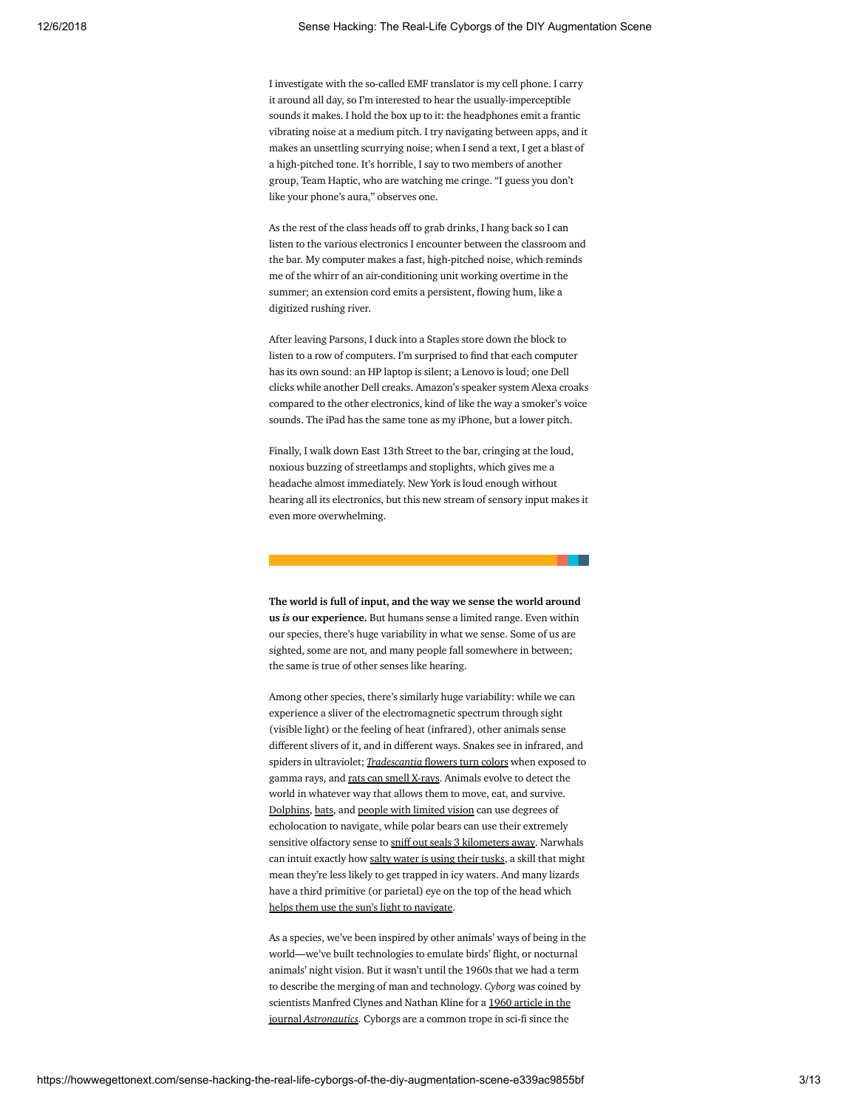I investigate with the so-called EMF translator is my cell phone. I carry it around all day, so I'm interested to hear the usually-imperceptible sounds it makes. I hold the box up to it: the headphones emit a frantic vibrating noise at a medium pitch. I try navigating between apps, and it makes an unsettling scurrying noise; when I send a text, I get a blast of a high-pitched tone. It's horrible, I say to two members of another group, Team Haptic, who are watching me cringe. "I guess you don't like your phone's aura," observes one.

As the rest of the class heads off to grab drinks, I hang back so I can listen to the various electronics I encounter between the classroom and the bar. My computer makes a fast, high-pitched noise, which reminds me of the whirr of an air-conditioning unit working overtime in the summer; an extension cord emits a persistent, flowing hum, like a digitized rushing river.

After leaving Parsons, I duck into a Staples store down the block to listen to a row of computers. I'm surprised to find that each computer has its own sound: an HP laptop is silent; a Lenovo is loud; one Dell clicks while another Dell creaks. Amazon's speaker system Alexa croaks compared to the other electronics, kind of like the way a smoker's voice sounds. The iPad has the same tone as my iPhone, but a lower pitch.

Finally, I walk down East 13th Street to the bar, cringing at the loud, noxious buzzing of streetlamps and stoplights, which gives me a headache almost immediately. New York is loud enough without hearing all its electronics, but this new stream of sensory input makes it even more overwhelming.

The world is full of input, and the way we sense the world around us *is* our experience. But humans sense a limited range. Even within our species, there's huge variability in what we sense. Some of us are sighted, some are not, and many people fall somewhere in between; the same is true of other senses like hearing.

Among other species, there's similarly huge variability: while we can experience a sliver of the electromagnetic spectrum through sight (visible light) or the feeling of heat (infrared), other animals sense different slivers of it, and in different ways. Snakes see in infrared, and spiders in ultraviolet; *[Tradescantia](http://www.sciencedirect.com/science/article/pii/0033756067900142)* flowers turn colors when exposed to gamma rays, and rats can smell [X-rays.](http://www.sciencedirect.com/science/article/pii/0031938466900588) Animals evolve to detect the world in whatever way that allows them to move, eat, and survive. [Dolphins](http://www.smithsonianmag.com/smart-news/how-dolphins-see-humans-echolocation-180957481/), [bats](https://www.scientificamerican.com/article/how-do-bats-echolocate-an/), and people with [limited](http://www.sciencemag.org/news/2014/11/how-blind-people-use-batlike-sonar) vision can use degrees of echolocation to navigate, while polar bears can use their extremely sensitive olfactory sense to sniff out seals 3 [kilometers](https://www.nature.com/articles/srep46332) away. Narwhals can intuit exactly how salty [water](https://www.wired.com/2014/03/narwhal-tusks-enormous-sensory-organs/) is using their tusks, a skill that might mean they're less likely to get trapped in icy waters. And many lizards have a third primitive (or parietal) eye on the top of the head which helps them use the sun's light to [navigate.](https://www.wired.com/2009/08/thirdeyesteering/)

As a species, we've been inspired by other animals' ways of being in the world—we've built technologies to emulate birds' flight, or nocturnal animals' night vision. But it wasn't until the 1960s that we had a term to describe the merging of man and technology. *Cyborg* was coined by scientists Manfred Clynes and Nathan Kline for a 1960 article in the journal *Astronautics*. Cyborgs are a common trope in sci-fi since the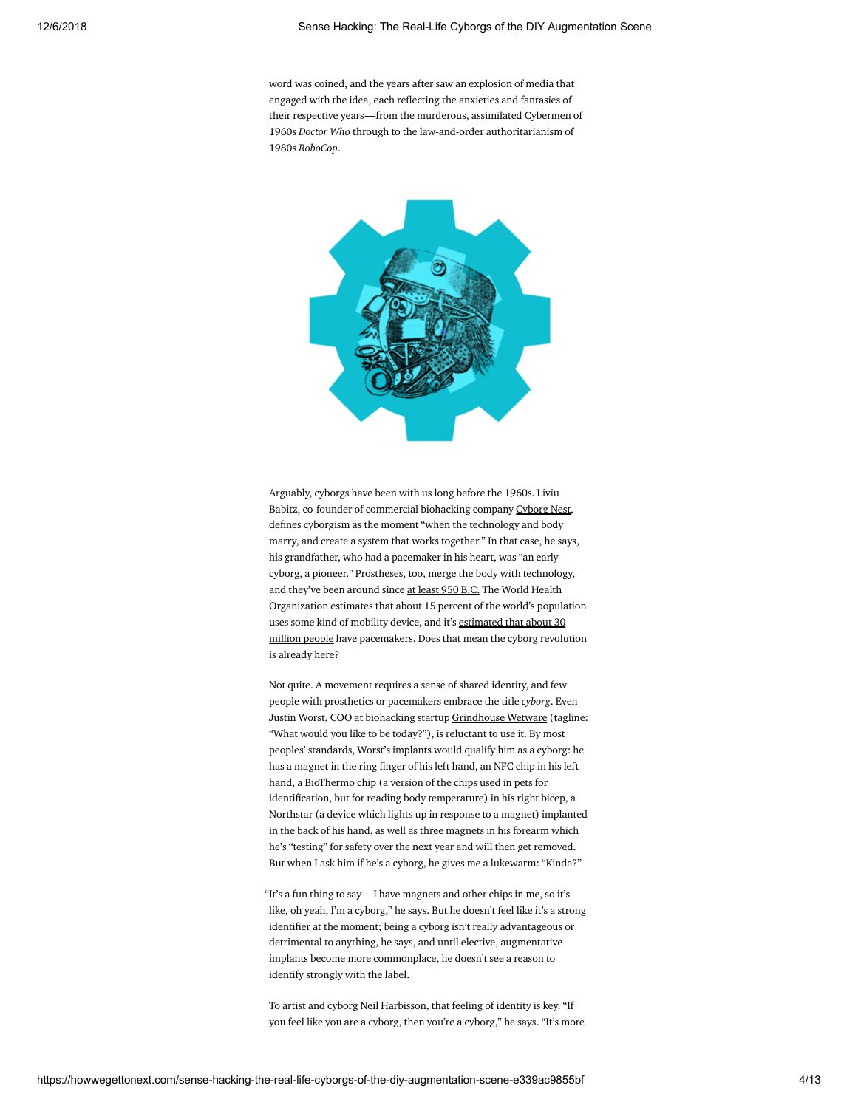word was coined, and the years after saw an explosion of media that engaged with the idea, each reflecting the anxieties and fantasies of their respective years—from the murderous, assimilated Cybermen of 1960s *Doctor Who* through to the law-and-order authoritarianism of 1980s *RoboCop*.



Arguably, cyborgs have been with us long before the 1960s. Liviu Babitz, co-founder of commercial biohacking company [Cyborg](https://cyborgnest.net/) Nest, defines cyborgism as the moment "when the technology and body marry, and create a system that works together." In that case, he says, his grandfather, who had a pacemaker in his heart, was "an early cyborg, a pioneer." Prostheses, too, merge the body with technology, and they've been around since at [least](https://www.theatlantic.com/technology/archive/2013/11/the-perfect-3-000-year-old-toe-a-brief-history-of-prosthetic-limbs/281653/) 950 B.C. The World Health Organization estimates that about 15 percent of the world's population uses some kind of mobility device, and it's estimated that about 30 million people have [pacemakers.](http://circ.ahajournals.org/content/105/18/2136) Does that mean the cyborg revolution is already here?

Not quite. A movement requires a sense of shared identity, and few people with prosthetics or pacemakers embrace the title *cyborg*. Even Justin Worst, COO at biohacking startup [Grindhouse](http://www.grindhousewetware.com/) Wetware (tagline: "What would you like to be today?"), is reluctant to use it. By most peoples' standards, Worst's implants would qualify him as a cyborg: he has a magnet in the ring finger of his left hand, an NFC chip in his left hand, a BioThermo chip (a version of the chips used in pets for identification, but for reading body temperature) in his right bicep, a Northstar (a device which lights up in response to a magnet) implanted in the back of his hand, as well as three magnets in his forearm which he's "testing" for safety over the next year and will then get removed. But when I ask him if he's a cyborg, he gives me a lukewarm: "Kinda?"

"It's a fun thing to say—I have magnets and other chips in me, so it's like, oh yeah, I'm a cyborg," he says. But he doesn't feel like it's a strong identifier at the moment; being a cyborg isn't really advantageous or detrimental to anything, he says, and until elective, augmentative implants become more commonplace, he doesn't see a reason to identify strongly with the label.

To artist and cyborg Neil Harbisson, that feeling of identity is key. "If you feel like you are a cyborg, then you're a cyborg," he says. "It's more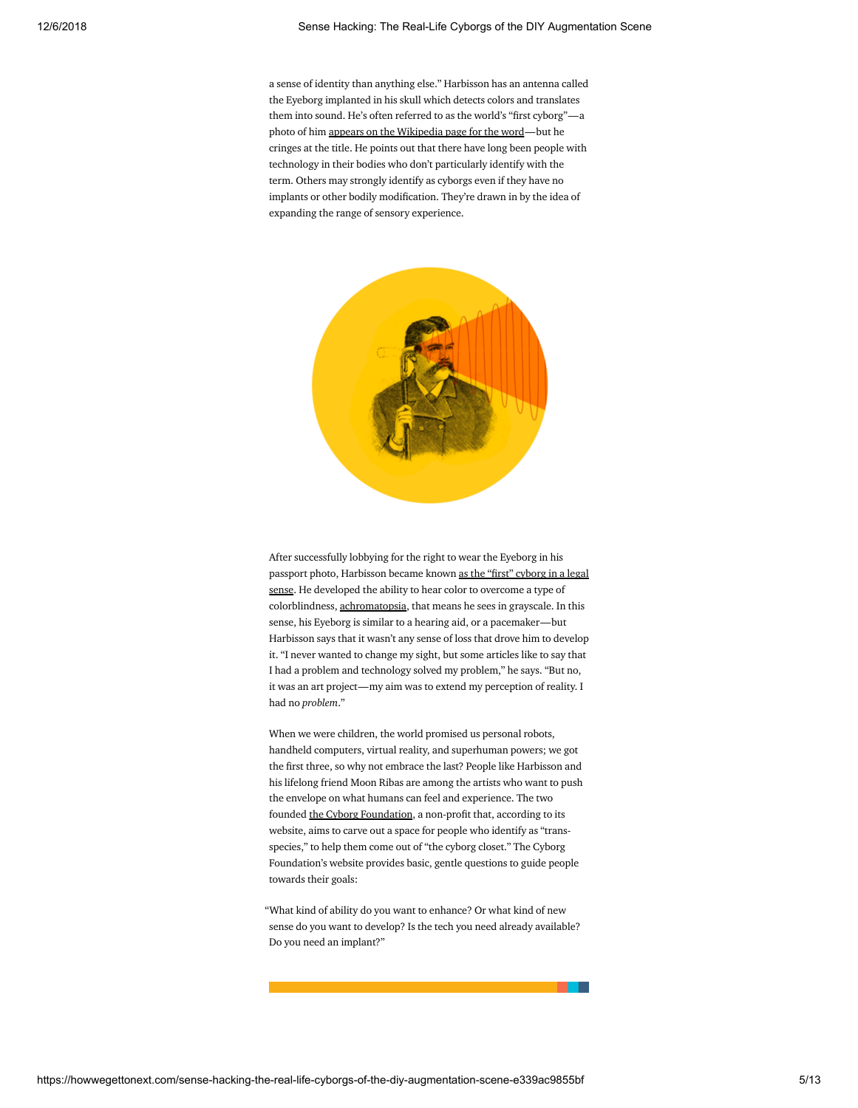a sense of identity than anything else." Harbisson has an antenna called the Eyeborg implanted in his skull which detects colors and translates them into sound. He's often referred to as the world's "first cyborg"-a photo of him appears on the [Wikipedia](https://en.wikipedia.org/wiki/Cyborg) page for the word—but he cringes at the title. He points out that there have long been people with technology in their bodies who don't particularly identify with the term. Others may strongly identify as cyborgs even if they have no implants or other bodily modification. They're drawn in by the idea of expanding the range of sensory experience.



After successfully lobbying for the right to wear the Eyeborg in his passport photo, Harbisson became known as the "first" cyborg in a legal sense. He [developed](http://www.cnn.com/2014/09/02/tech/innovation/cyborg-neil-harbisson-implant-antenna/index.html) the ability to hear color to overcome a type of colorblindness, [achromatopsia,](https://en.wikipedia.org/wiki/Achromatopsia) that means he sees in grayscale. In this sense, his Eyeborg is similar to a hearing aid, or a pacemaker—but Harbisson says that it wasn't any sense of loss that drove him to develop it. "I never wanted to change my sight, but some articles like to say that I had a problem and technology solved my problem," he says. "But no, it was an art project—my aim was to extend my perception of reality. I had no *problem*."

When we were children, the world promised us personal robots, handheld computers, virtual reality, and superhuman powers; we got the first three, so why not embrace the last? People like Harbisson and his lifelong friend Moon Ribas are among the artists who want to push the envelope on what humans can feel and experience. The two founded the Cyborg [Foundation,](http://www.cyborgfoundation.com/) a non-profit that, according to its website, aims to carve out a space for people who identify as "transspecies," to help them come out of "the cyborg closet." The Cyborg Foundation's website provides basic, gentle questions to guide people towards their goals:

"What kind of ability do you want to enhance? Or what kind of new sense do you want to develop? Is the tech you need already available? Do you need an implant?"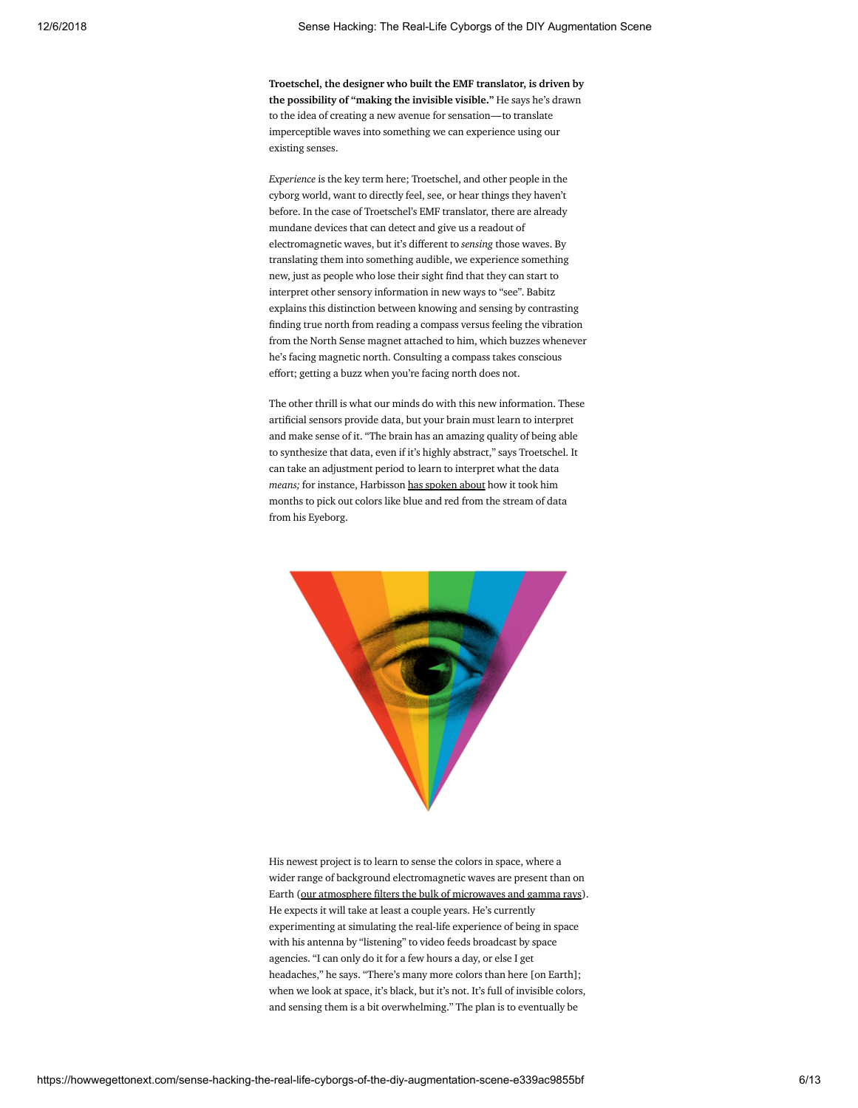Troetschel, the designer who built the EMF translator, is driven by the possibility of "making the invisible visible." He says he's drawn to the idea of creating a new avenue for sensation—to translate imperceptible waves into something we can experience using our existing senses.

*Experience* is the key term here; Troetschel, and other people in the cyborg world, want to directly feel, see, or hear things they haven't before. In the case of Troetschel's EMF translator, there are already mundane devices that can detect and give us a readout of electromagnetic waves, but it's different to *sensing* those waves. By translating them into something audible, we experience something new, just as people who lose their sight find that they can start to interpret other sensory information in new ways to "see". Babitz explains this distinction between knowing and sensing by contrasting finding true north from reading a compass versus feeling the vibration from the North Sense magnet attached to him, which buzzes whenever he's facing magnetic north. Consulting a compass takes conscious effort; getting a buzz when you're facing north does not.

The other thrill is what our minds do with this new information. These artificial sensors provide data, but your brain must learn to interpret and make sense of it. "The brain has an amazing quality of being able to synthesize that data, even if it's highly abstract," says Troetschel. It can take an adjustment period to learn to interpret what the data *means;* for instance, Harbisson has [spoken](http://i-docs.org/wp-content/uploads/2014/01/Neil-Harbisson-A-cyborg-artist.pdf) about how it took him months to pick out colors like blue and red from the stream of data from his Eyeborg.



His newest project is to learn to sense the colors in space, where a wider range of background electromagnetic waves are present than on Earth (our [atmosphere](https://imagine.gsfc.nasa.gov/science/toolbox/emspectrum_observatories1.html) filters the bulk of microwaves and gamma rays). He expects it will take at least a couple years. He's currently experimenting at simulating the real-life experience of being in space with his antenna by "listening" to video feeds broadcast by space agencies. "I can only do it for a few hours a day, or else I get headaches," he says. "There's many more colors than here [on Earth]; when we look at space, it's black, but it's not. It's full of invisible colors, and sensing them is a bit overwhelming." The plan is to eventually be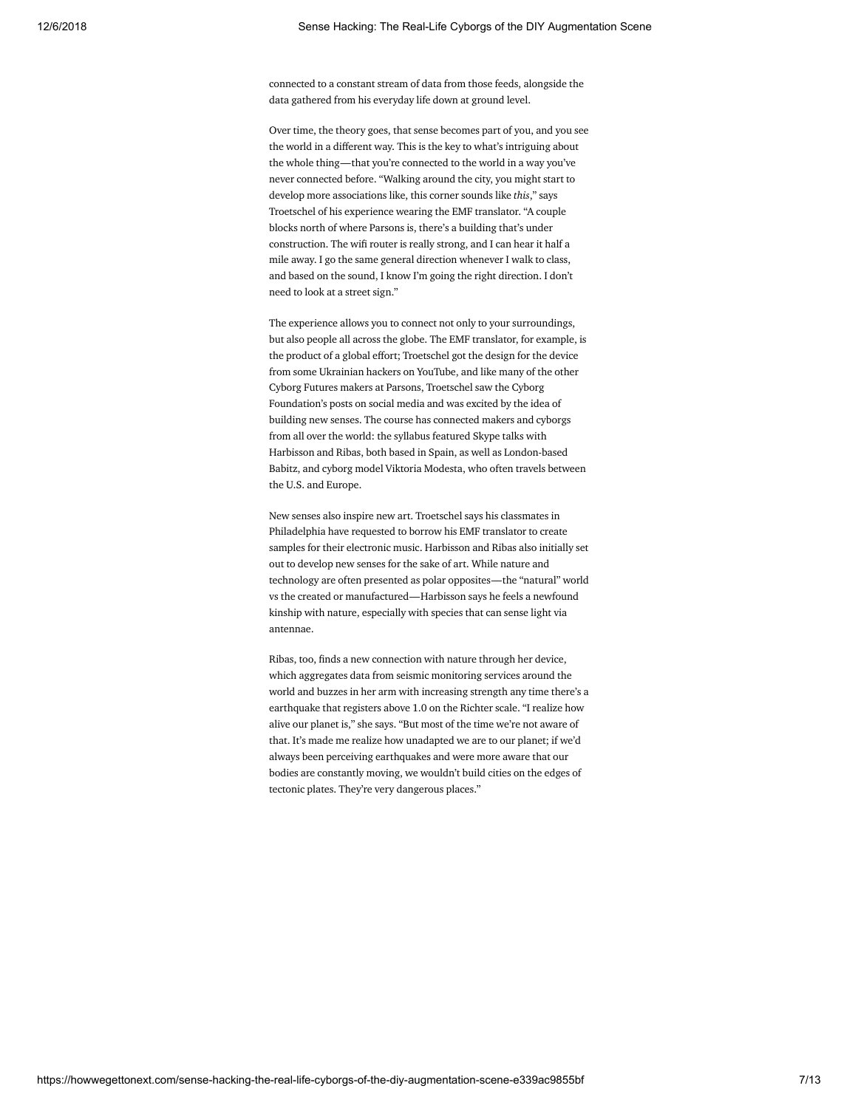connected to a constant stream of data from those feeds, alongside the data gathered from his everyday life down at ground level.

Over time, the theory goes, that sense becomes part of you, and you see the world in a different way. This is the key to what's intriguing about the whole thing—that you're connected to the world in a way you've never connected before. "Walking around the city, you might start to develop more associations like, this corner sounds like *this*," says Troetschel of his experience wearing the EMF translator. "A couple blocks north of where Parsons is, there's a building that's under construction. The wifi router is really strong, and I can hear it half a mile away. I go the same general direction whenever I walk to class, and based on the sound, I know I'm going the right direction. I don't need to look at a street sign."

The experience allows you to connect not only to your surroundings, but also people all across the globe. The EMF translator, for example, is the product of a global effort; Troetschel got the design for the device from some Ukrainian hackers on YouTube, and like many of the other Cyborg Futures makers at Parsons, Troetschel saw the Cyborg Foundation's posts on social media and was excited by the idea of building new senses. The course has connected makers and cyborgs from all over the world: the syllabus featured Skype talks with Harbisson and Ribas, both based in Spain, as well as London-based Babitz, and cyborg model Viktoria Modesta, who often travels between the U.S. and Europe.

New senses also inspire new art. Troetschel says his classmates in Philadelphia have requested to borrow his EMF translator to create samples for their electronic music. Harbisson and Ribas also initially set out to develop new senses for the sake of art. While nature and technology are often presented as polar opposites—the "natural" world vs the created or manufactured—Harbisson says he feels a newfound kinship with nature, especially with species that can sense light via antennae.

Ribas, too, finds a new connection with nature through her device, which aggregates data from seismic monitoring services around the world and buzzes in her arm with increasing strength any time there's a earthquake that registers above 1.0 on the Richter scale. "I realize how alive our planet is," she says. "But most of the time we're not aware of that. It's made me realize how unadapted we are to our planet; if we'd always been perceiving earthquakes and were more aware that our bodies are constantly moving, we wouldn't build cities on the edges of tectonic plates. They're very dangerous places."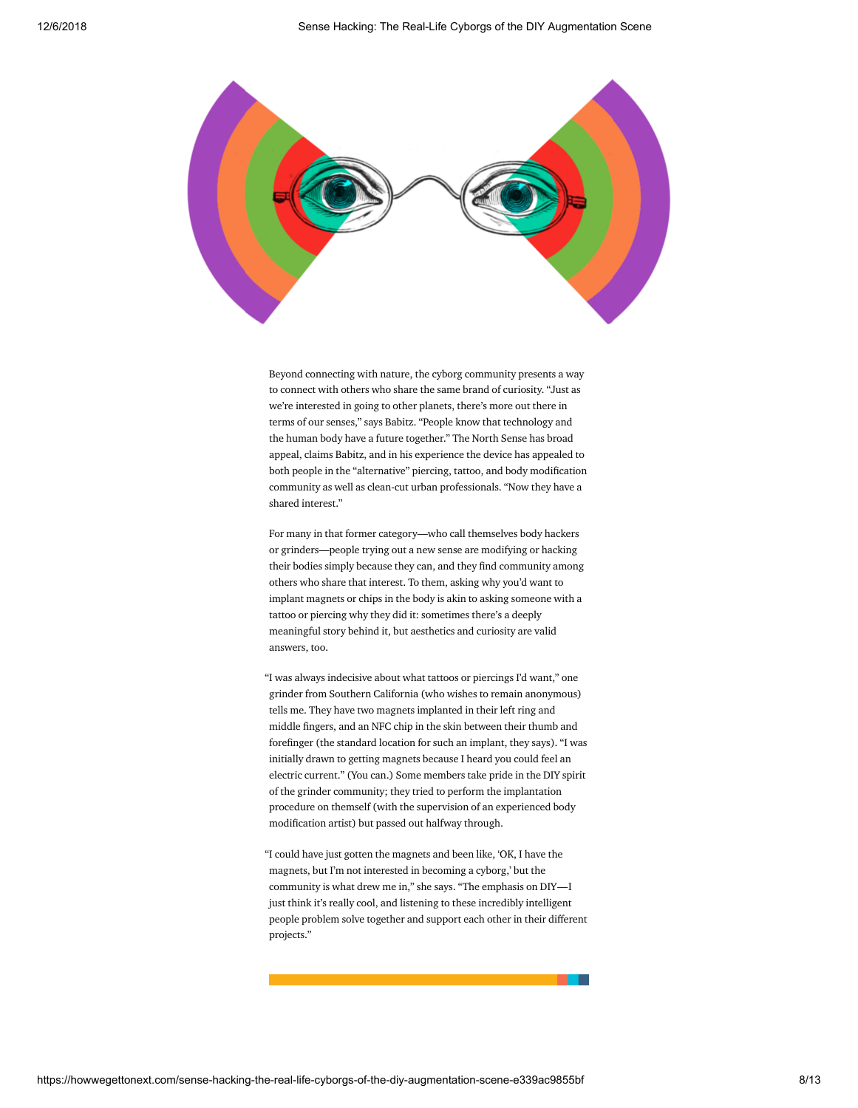

Beyond connecting with nature, the cyborg community presents a way to connect with others who share the same brand of curiosity. "Just as we're interested in going to other planets, there's more out there in terms of our senses," says Babitz. "People know that technology and the human body have a future together." The North Sense has broad appeal, claims Babitz, and in his experience the device has appealed to both people in the "alternative" piercing, tattoo, and body modification community as well as clean-cut urban professionals. "Now they have a shared interest."

For many in that former category—who call themselves body hackers or grinders—people trying out a new sense are modifying or hacking their bodies simply because they can, and they find community among others who share that interest. To them, asking why you'd want to implant magnets or chips in the body is akin to asking someone with a tattoo or piercing why they did it: sometimes there's a deeply meaningful story behind it, but aesthetics and curiosity are valid answers, too.

"I was always indecisive about what tattoos or piercings I'd want," one grinder from Southern California (who wishes to remain anonymous) tells me. They have two magnets implanted in their left ring and middle fingers, and an NFC chip in the skin between their thumb and forefinger (the standard location for such an implant, they says). "I was initially drawn to getting magnets because I heard you could feel an electric current." (You can.) Some members take pride in the DIY spirit of the grinder community; they tried to perform the implantation procedure on themself (with the supervision of an experienced body modification artist) but passed out halfway through.

"I could have just gotten the magnets and been like, 'OK, I have the magnets, but I'm not interested in becoming a cyborg,' but the community is what drew me in," she says. "The emphasis on DIY—I just think it's really cool, and listening to these incredibly intelligent people problem solve together and support each other in their different projects."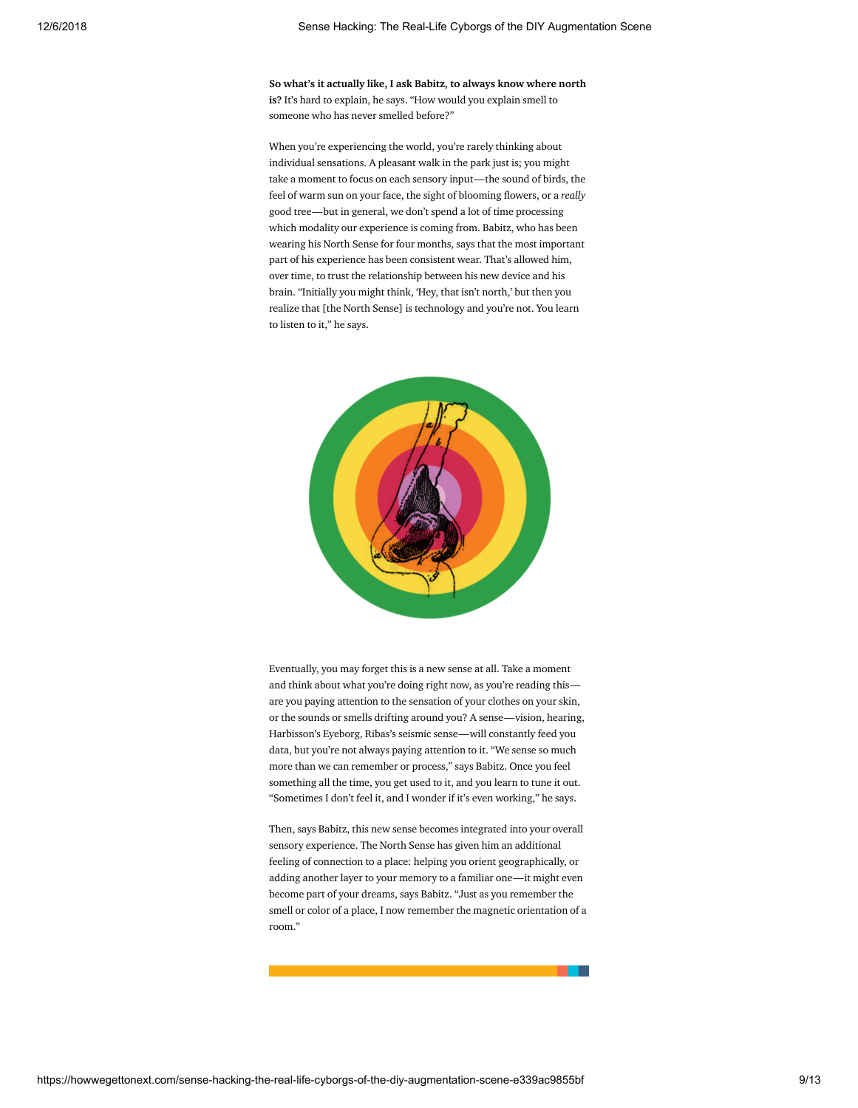So what's it actually like, I ask Babitz, to always know where north is? It's hard to explain, he says. "How would you explain smell to someone who has never smelled before?"

When you're experiencing the world, you're rarely thinking about individual sensations. A pleasant walk in the park just is; you might take a moment to focus on each sensory input—the sound of birds, the feel of warm sun on your face, the sight of blooming flowers, or a *really* good tree—but in general, we don't spend a lot of time processing which modality our experience is coming from. Babitz, who has been wearing his North Sense for four months, says that the most important part of his experience has been consistent wear. That's allowed him, over time, to trust the relationship between his new device and his brain. "Initially you might think, 'Hey, that isn't north,' but then you realize that [the North Sense] is technology and you're not. You learn to listen to it," he says.



Eventually, you may forget this is a new sense at all. Take a moment and think about what you're doing right now, as you're reading this are you paying attention to the sensation of your clothes on your skin, or the sounds or smells drifting around you? A sense—vision, hearing, Harbisson's Eyeborg, Ribas's seismic sense—will constantly feed you data, but you're not always paying attention to it. "We sense so much more than we can remember or process," says Babitz. Once you feel something all the time, you get used to it, and you learn to tune it out. "Sometimes I don't feel it, and I wonder if it's even working," he says.

Then, says Babitz, this new sense becomes integrated into your overall sensory experience. The North Sense has given him an additional feeling of connection to a place: helping you orient geographically, or adding another layer to your memory to a familiar one—it might even become part of your dreams, says Babitz. "Just as you remember the smell or color of a place, I now remember the magnetic orientation of a room."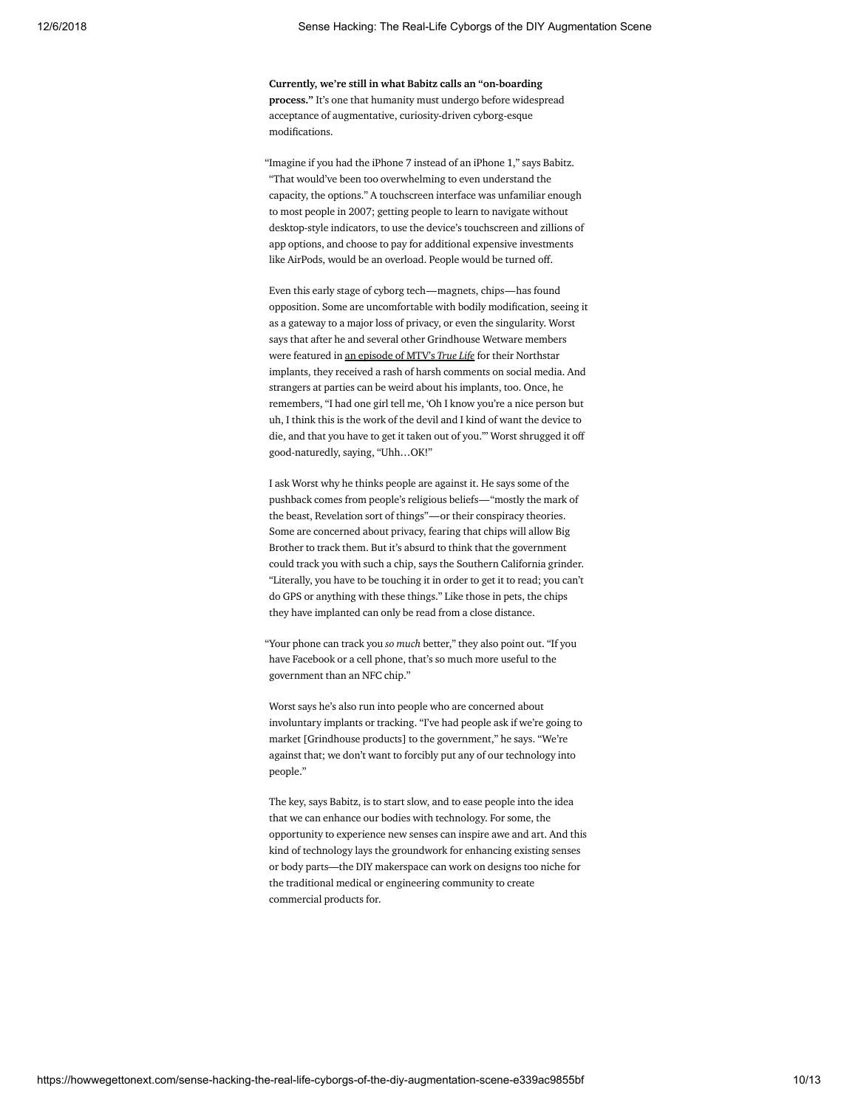Currently, we're still in what Babitz calls an "on-boarding process." It's one that humanity must undergo before widespread acceptance of augmentative, curiosity-driven cyborg-esque modifications.

"Imagine if you had the iPhone 7 instead of an iPhone 1," says Babitz. "That would've been too overwhelming to even understand the capacity, the options." A touchscreen interface was unfamiliar enough to most people in 2007; getting people to learn to navigate without desktop-style indicators, to use the device's touchscreen and zillions of app options, and choose to pay for additional expensive investments like AirPods, would be an overload. People would be turned off.

Even this early stage of cyborg tech—magnets, chips—has found opposition. Some are uncomfortable with bodily modification, seeing it as a gateway to a major loss of privacy, or even the singularity. Worst says that after he and several other Grindhouse Wetware members were featured in an [episode](https://www.youtube.com/watch?v=oakRYpnVfJU) of MTV's *True Life* for their Northstar implants, they received a rash of harsh comments on social media. And strangers at parties can be weird about his implants, too. Once, he remembers, "I had one girl tell me, 'Oh I know you're a nice person but uh, I think this is the work of the devil and I kind of want the device to die, and that you have to get it taken out of you.'" Worst shrugged it o good-naturedly, saying, "Uhh…OK!"

I ask Worst why he thinks people are against it. He says some of the pushback comes from people's religious beliefs—"mostly the mark of the beast, Revelation sort of things"—or their conspiracy theories. Some are concerned about privacy, fearing that chips will allow Big Brother to track them. But it's absurd to think that the government could track you with such a chip, says the Southern California grinder. "Literally, you have to be touching it in order to get it to read; you can't do GPS or anything with these things." Like those in pets, the chips they have implanted can only be read from a close distance.

"Your phone can track you *so much* better," they also point out. "If you have Facebook or a cell phone, that's so much more useful to the government than an NFC chip."

Worst says he's also run into people who are concerned about involuntary implants or tracking. "I've had people ask if we're going to market [Grindhouse products] to the government," he says. "We're against that; we don't want to forcibly put any of our technology into people."

The key, says Babitz, is to start slow, and to ease people into the idea that we can enhance our bodies with technology. For some, the opportunity to experience new senses can inspire awe and art. And this kind of technology lays the groundwork for enhancing existing senses or body parts—the DIY makerspace can work on designs too niche for the traditional medical or engineering community to create commercial products for.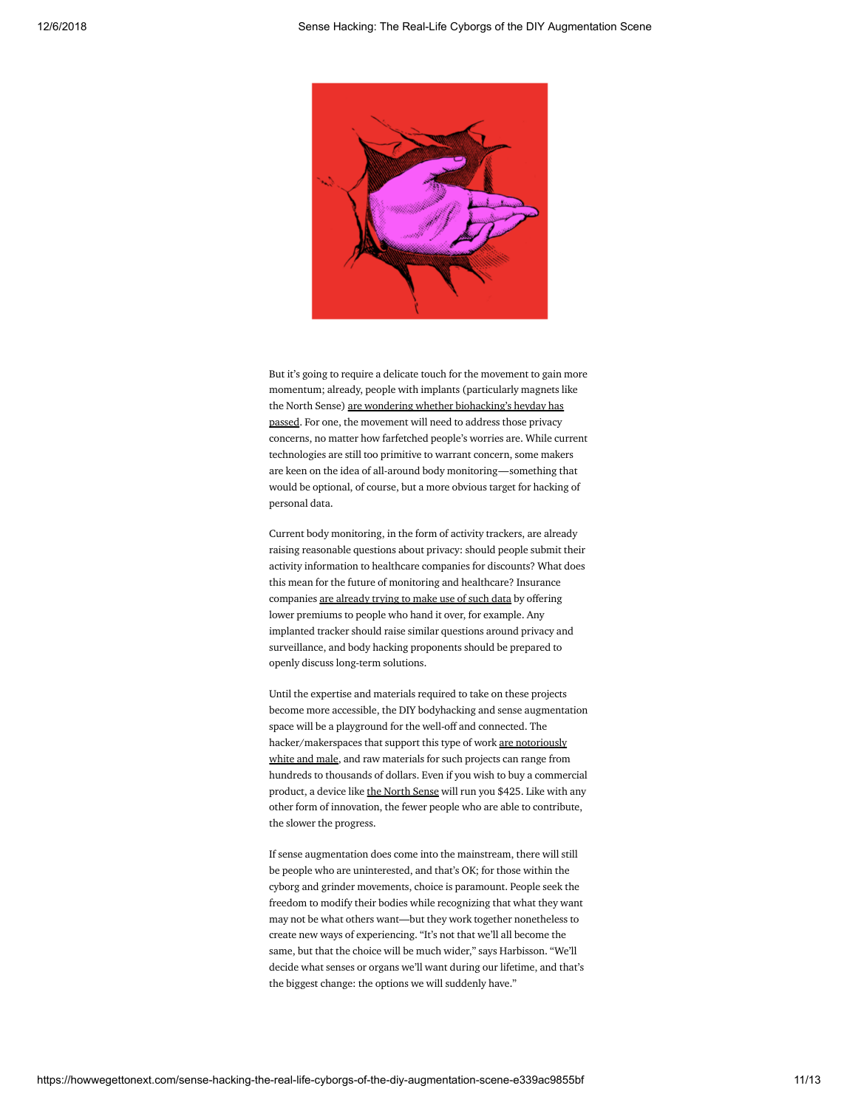

But it's going to require a delicate touch for the movement to gain more momentum; already, people with implants (particularly magnets like the North Sense) are wondering whether [biohacking's](https://www.theverge.com/2017/7/21/15999544/biohacking-finger-magnet-human-augmentation-loss) heyday has passed. For one, the movement will need to address those privacy concerns, no matter how farfetched people's worries are. While current technologies are still too primitive to warrant concern, some makers are keen on the idea of all-around body monitoring—something that would be optional, of course, but a more obvious target for hacking of personal data.

Current body monitoring, in the form of activity trackers, are already raising reasonable questions about privacy: should people submit their activity information to healthcare companies for discounts? What does this mean for the future of monitoring and healthcare? Insurance companies are [already](http://www.slate.com/blogs/future_tense/2014/09/11/insurance_companies_are_using_quantified_self_data_for_accountability_tracking.html) trying to make use of such data by offering lower premiums to people who hand it over, for example. Any implanted tracker should raise similar questions around privacy and surveillance, and body hacking proponents should be prepared to openly discuss long-term solutions.

Until the expertise and materials required to take on these projects become more accessible, the DIY bodyhacking and sense augmentation space will be a playground for the well-off and connected. The [hacker/makerspaces](https://flux.hackerspaces.org/2014/01/19/diversity-and-the-hacker-scene/) that support this type of work are notoriously white and male, and raw materials for such projects can range from hundreds to thousands of dollars. Even if you wish to buy a commercial product, a device like the [North](https://cyborgnest.net/products/the-north-sense) Sense will run you \$425. Like with any other form of innovation, the fewer people who are able to contribute, the slower the progress.

If sense augmentation does come into the mainstream, there will still be people who are uninterested, and that's OK; for those within the cyborg and grinder movements, choice is paramount. People seek the freedom to modify their bodies while recognizing that what they want may not be what others want—but they work together nonetheless to create new ways of experiencing. "It's not that we'll all become the same, but that the choice will be much wider," says Harbisson. "We'll decide what senses or organs we'll want during our lifetime, and that's the biggest change: the options we will suddenly have."